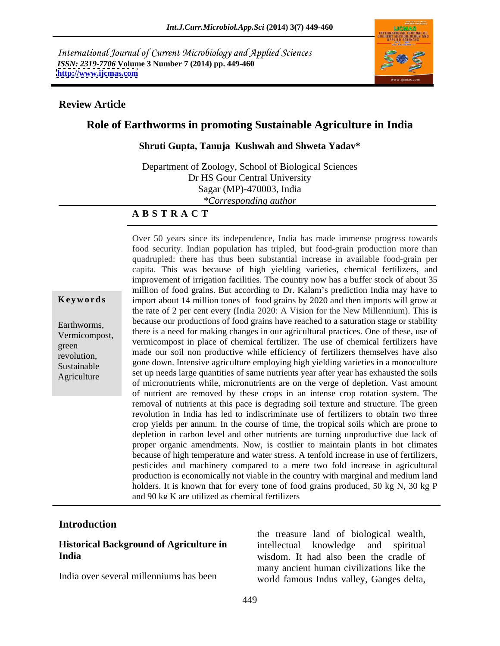International Journal of Current Microbiology and Applied Sciences *ISSN: 2319-7706* **Volume 3 Number 7 (2014) pp. 449-460 <http://www.ijcmas.com>**



### **Review Article**

### **Role of Earthworms in promoting Sustainable Agriculture in India**

### **Shruti Gupta, Tanuja Kushwah and Shweta Yadav\***

Department of Zoology, School of Biological Sciences Dr HS Gour Central University Sagar (MP)-470003, India *\*Corresponding author* 

### **A B S T R A C T**

**Keywords** import about 14 million tones of food grains by 2020 and then imports will grow at Earthworms, because our productions of food grains have reached to a saturation stage or stability Vermicompost, there is a need for making changes in our agricultural practices. One of these, use of vermicompost in place of chemical fertilizer. The use of chemical fertilizers have<br>green revolution, made our soil non productive while efficiency of fertilizers themselves have also Sustainable gone down. Intensive agriculture employing high yielding varieties in a monoculture Sustainable<br>Agriculture set up needs large quantities of same nutrients year after year has exhausted the soils Over 50 years since its independence, India has made immense progress towards food security. Indian population has tripled, but food-grain production more than quadrupled: there has thus been substantial increase in available food-grain per capita. This was because of high yielding varieties, chemical fertilizers, and improvement of irrigation facilities. The country now has a buffer stock of about 35 million of food grains. But according to Dr. Kalam's prediction India may have to the rate of 2 per cent every (India 2020: A Vision for the New Millennium). This is of micronutrients while, micronutrients are on the verge of depletion. Vast amount of nutrient are removed by these crops in an intense crop rotation system. The removal of nutrients at this pace is degrading soil texture and structure. The green revolution in India has led to indiscriminate use of fertilizers to obtain two three crop yields per annum. In the course of time, the tropical soils which are prone to depletion in carbon level and other nutrients are turning unproductive due lack of proper organic amendments. Now, is costlier to maintain plants in hot climates because of high temperature and water stress. A tenfold increase in use of fertilizers, pesticides and machinery compared to a mere two fold increase in agricultural production is economically not viable in the country with marginal and medium land holders. It is known that for every tone of food grains produced, 50 kg N, 30 kg P and 90 kg K are utilized as chemical fertilizers

### **Introduction**

**Historical Background of Agriculture in India** wisdom. It had also been the cradle of India over several millenniums has been world famous Indus valley, Ganges delta, the treasure land of biological wealth, intellectual knowledge and spiritual many ancient human civilizations like the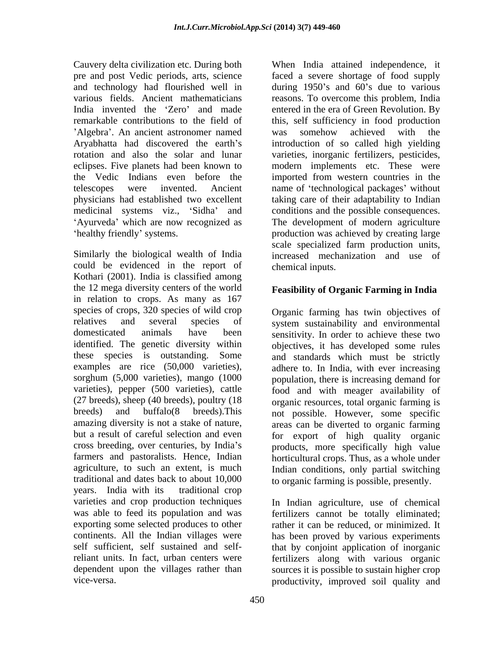pre and post Vedic periods, arts, science Algebra'. An ancient astronomer named was somehow achieved with the medicinal systems viz., 'Sidha' and

could be evidenced in the report of Kothari (2001). India is classified among the 12 mega diversity centers of the world in relation to crops. As many as 167 species of crops, 320 species of wild crop sorghum (5,000 varieties), mango (1000 but a result of careful selection and even traditional and dates back to about 10,000 to organic farming is possible, presently. years. India with its traditional crop varieties and crop production techniques In Indian agriculture, use of chemical was able to feed its population and was fertilizers cannot be totally eliminated; exporting some selected produces to other a rather it can be reduced, or minimized. It continents. All the Indian villages were has been proved by various experiments self sufficient, self sustained and self-that by conjoint application of inorganic reliant units. In fact, urban centers were fertilizers along with various organic dependent upon the villages rather than sources it is possible to sustain higher crop

Cauvery delta civilization etc. During both When India attained independence, it and technology had flourished well in during 1950's and 60's due to various various fields. Ancient mathematicians reasons. To overcome this problem, India India invented the 'Zero' and made entered in the era of Green Revolution. By remarkable contributions to the field of this, self sufficiency in food production Aryabhatta had discovered the earth's introduction of so called high yielding rotation and also the solar and lunar varieties, inorganic fertilizers, pesticides, eclipses. Five planets had been known to modern implements etc. These were the Vedic Indians even before the imported from western countries in the telescopes were invented. Ancient name of 'technological packages' without physicians had established two excellent taking care of their adaptability to Indian Ayurveda' which are now recognized as The development of modern agriculture healthy friendly' systems. The production was achieved by creating large Similarly the biological wealth of India increased mechanization and use of faced a severe shortage of food supply was somehow achieved with the conditions and the possible consequences. scale specialized farm production units, chemical inputs.

# **Feasibility of Organic Farming in India**

relatives and several species of system sustainability and environmental domesticated animals have been sensitivity. In order to achieve these two identified. The genetic diversity within objectives, it has developed some rules these species is outstanding. Some and standards which must be strictly examples are rice (50,000 varieties), adhere to. In India, with ever increasing varieties), pepper (500 varieties), cattle food and with meager availability of (27 breeds), sheep (40 breeds), poultry (18 organic resources, total organic farming is breeds) and buffalo(8 breeds).This not possible. However, some specific amazing diversity is not a stake of nature, areas can be diverted to organic farming cross breeding, over centuries, by India's products, more specifically high value farmers and pastoralists. Hence, Indian horticultural crops. Thus, as a whole under agriculture, to such an extent, is much Indian conditions, only partial switching Organic farming has twin objectives of population, there is increasing demand for for export of high quality organic

vice-versa. productivity, improved soil quality and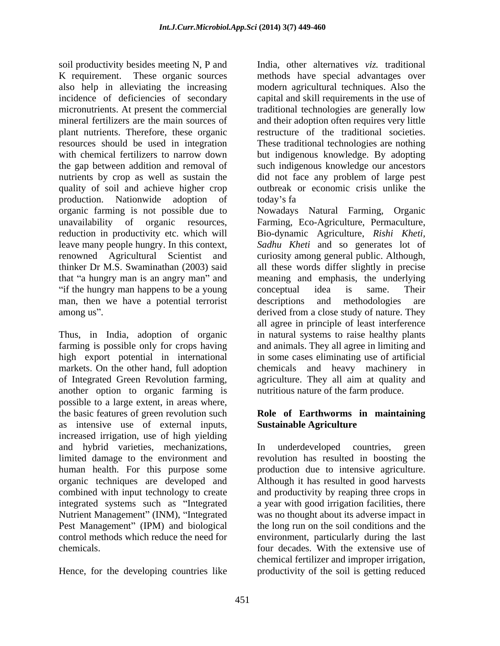soil productivity besides meeting N, P and K requirement. These organic sources methods have special advantages over also help in alleviating the increasing modern agricultural techniques. Also the incidence of deficiencies of secondary capital and skill requirements in the use of micronutrients. At present the commercial traditional technologies are generally low mineral fertilizers are the main sources of and their adoption often requires very little plant nutrients. Therefore, these organic restructure of the traditional societies. resources should be used in integration with chemical fertilizers to narrow down but indigenous knowledge. By adopting the gap between addition and removal of such indigenous knowledge our ancestors nutrients by crop as well as sustain the did not face any problem of large pest quality of soil and achieve higher crop production. Nationwide adoption of organic farming is not possible due to Nowadays Natural Farming, Organic unavailability of organic resources, Farming, Eco-Agriculture, Permaculture, reduction in productivity etc. which will Bio-dynamic Agriculture, *Rishi Kheti,* leave many people hungry. In this context, *Sadhu Kheti* and so generates lot of renowned Agricultural Scientist and curiosity among general public. Although, thinker Dr M.S. Swaminathan (2003) said all these words differ slightly in precise that "a hungry man is an angry man" and meaning and emphasis, the underlying "if the hungry man happens to be a young conceptual idea is same. Their man, then we have a potential terrorist elescriptions and methodologies are among us".  $\qquad \qquad$  derived from a close study of nature. They

markets. On the other hand, full adoption another option to organic farming is possible to a large extent, in areas where, the basic features of green revolution such **Role of Earthworms in maintaining** as intensive use of external inputs, increased irrigation, use of high yielding and hybrid varieties, mechanizations, limited damage to the environment and revolution has resulted in boosting the human health. For this purpose some production due to intensive agriculture. organic techniques are developed and Although it has resulted in good harvests combined with input technology to create and productivity by reaping three crops in integrated systems such as "Integrated Nutrient Management" (INM), "Integrated Pest Management" (IPM) and biological control methods which reduce the need for environment, particularly during the last chemicals. four decades. With the extensive use of

Hence, for the developing countries like productivity of the soil is getting reduced

India, other alternatives *viz.* traditional These traditional technologies are nothing outbreak or economic crisis unlike the today's fa

Thus, in India, adoption of organic in natural systems to raise healthy plants farming is possible only for crops having and animals. They all agree in limiting and high export potential in international in some cases eliminating use of artificial of Integrated Green Revolution farming, agriculture. They all aim at quality and conceptual idea is same. Their descriptions and methodologies are all agree in principle of least interference chemicals and heavy machinery in nutritious nature of the farm produce.

# **Sustainable Agriculture**

In underdeveloped countries, green a year with good irrigation facilities, there was no thought about its adverse impact in the long run on the soil conditions and the chemical fertilizer and improper irrigation,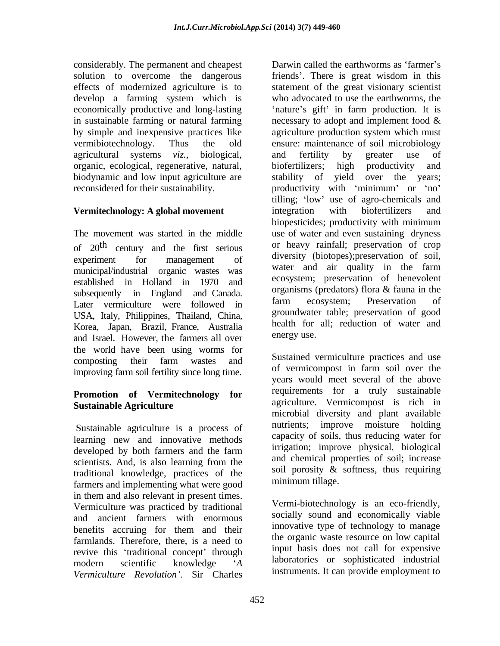considerably. The permanent and cheapest develop a farming system which is agricultural systems *viz.,* biological, organic, ecological, regenerative, natural, biodynamic and low input agriculture are stability of yield over the years;

municipal/industrial organic wastes was established in Holland in 1970 and and Israel. However, the farmers all over energy use. the world have been using worms for improving farm soil fertility since long time.

### **Promotion of Vermitechnology for Sustainable Agriculture**

Sustainable agriculture is a process of learning new and innovative methods scientists. And, is also learning from the traditional knowledge, practices of the farmers and implementing what were good in them and also relevant in present times. Vermiculture was practiced by traditional and ancient farmers with enormous benefits accruing for them and their farmlands. Therefore, there, is a need to revive this 'traditional concept' through modern scientific knowledge *A Vermiculture Revolution* . Sir Charles

solution to overcome the dangerous friends'. There is great wisdom in this effects of modernized agriculture is to statement of the great visionary scientist economically productive and long-lasting the "nature's gift" in farm production. It is in sustainable farming or natural farming a necessary to adopt and implement food  $\&$ by simple and inexpensive practices like agriculture production system which must vermibiotechnology. Thus the old ensure: maintenance of soil microbiology reconsidered for their sustainability. The productivity with 'minimum' or 'no' **Vermitechnology: A global movement** integration with biofertilizers and The movement was started in the middle use of water and even sustaining dryness of  $20^{\text{th}}$  century and the first serious of neavy rainially preservation of crop th century and the first serious or heavy rainfall; preservation of crop experiment for management of diversity (biotopes);preservation of soil, subsequently in England and Canada. The organisms (predators) flora  $\alpha$  fails in the stater vermiculture were followed in farm ecosystem; Preservation of USA, Italy, Philippines, Thailand, China, and groundwater table; preservation of good<br>Korea, Japan, Brazil, France, Australia and health for all; reduction of water and Darwin called the earthworms as 'farmer's who advocated to use the earthworms, the and fertility by greater use of biofertilizers; high productivity and stability of yield over the years; tilling; 'low' use of agro-chemicals and integration with biofertilizers and biopesticides; productivity with minimum water and air quality in the farm ecosystem; preservation of benevolent organisms (predators) flora & fauna in the farm ecosystem; Preservation of groundwater table; preservation of good energy use.

composting their farm wastes and Sustained vermiculture practices and use developed by both farmers and the farm **IFTIP** at the surface private provident developed by both farmers and the farm Sustained vermiculture practices and use of vermicompost in farm soil over the years would meet several of the above requirements for a truly sustainable agriculture. Vermicompost is rich in microbial diversity and plant available nutrients; improve moisture holding capacity of soils, thus reducing water for irrigation; improve physical, biological and chemical properties of soil; increase soil porosity  $\&$  softness, thus requiring minimum tillage.

> Vermi-biotechnology is an eco-friendly, socially sound and economically viable innovative type of technology to manage the organic waste resource on low capital input basis does not call for expensive laboratories or sophisticated industrial instruments. It can provide employment to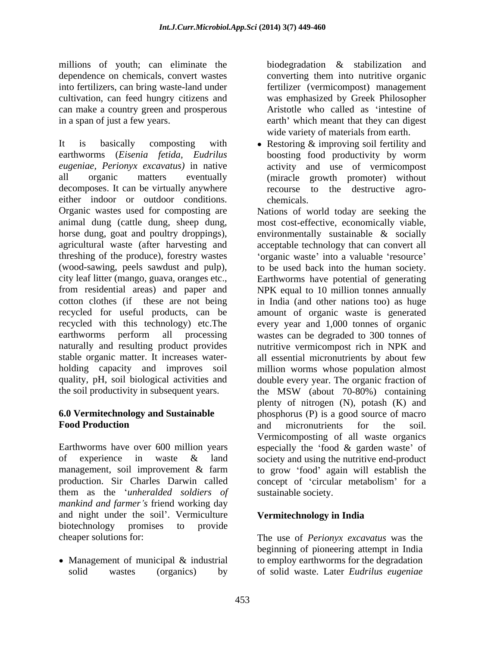millions of youth; can eliminate the dependence on chemicals, convert wastes converting them into nutritive organic into fertilizers, can bring waste-land under fertilizer (vermicompost) management cultivation, can feed hungry citizens and can make a country green and prosperous in a span of just a few years. earth' which meant that they can digest

It is basically composting with • Restoring & improving soil fertility and earthworms (*Eisenia fetida, Eudrilus* boosting food productivity by worm *eugeniae, Perionyx excavatus)* in native all organic matters eventually (miracle growth promoter) without decomposes. It can be virtually anywhere either indoor or outdoor conditions. chemicals, horse dung, goat and poultry droppings), environmentally sustainable & socially threshing of the produce), forestry wastes the soil productivity in subsequent years. <br>the MSW (about 70-80%) containing

them as the *unheralded soldiers of mankind and farmer s* friend working day and night under the soil'. Vermiculture biotechnology promises to provide

biodegradation & stabilization and converting them into nutritive organic was emphasized by Greek Philosopher Aristotle who called as 'intestine of wide variety of materials from earth.

activity and use of vermicompost recourse to the destructive agro chemicals.

Organic wastes used for composting are Nations of world today are seeking the animal dung (cattle dung, sheep dung, most cost-effective, economically viable, agricultural waste (after harvesting and acceptable technology that can convert all (wood-sawing, peels sawdust and pulp), to be used back into the human society. city leaf litter (mango, guava, oranges etc., Earthworms have potential of generating from residential areas) and paper and NPK equal to 10 million tonnes annually cotton clothes (if these are not being in India (and other nations too) as huge recycled for useful products, can be amount of organic waste is generated recycled with this technology) etc.The every year and 1,000 tonnes of organic earthworms perform all processing wastes can be degraded to 300 tonnes of naturally and resulting product provides nutritive vermicompost rich in NPK and stable organic matter. It increases water- all essential micronutrients by about few holding capacity and improves soil million worms whose population almost quality, pH, soil biological activities and double every year. The organic fraction of **6.0 Vermitechnology and Sustainable**  phosphorus (P) is a good source of macro Food Production and micronutrients for the soil. Earthworms have over 600 million years especially the 'food & garden waste' of of experience in waste & land society and using the nutritive end-product management, soil improvement & farm to grow 'food' again will establish the production. Sir Charles Darwin called concept of 'circular metabolism' for a environmentally sustainable & socially 'organic waste' into a valuable 'resource' the MSW (about 70-80%) containing plenty of nitrogen (N), potash (K) and and micronutrients for the soil. Vermicomposting of all waste organics sustainable society.

# **Vermitechnology in India**

cheaper solutions for: The use of *Perionyx excavatus* was the Management of municipal & industrial to employ earthworms for the degradation solid wastes (organics) by of solid waste. Later *Eudrilus eugeniae*beginning of pioneering attempt in India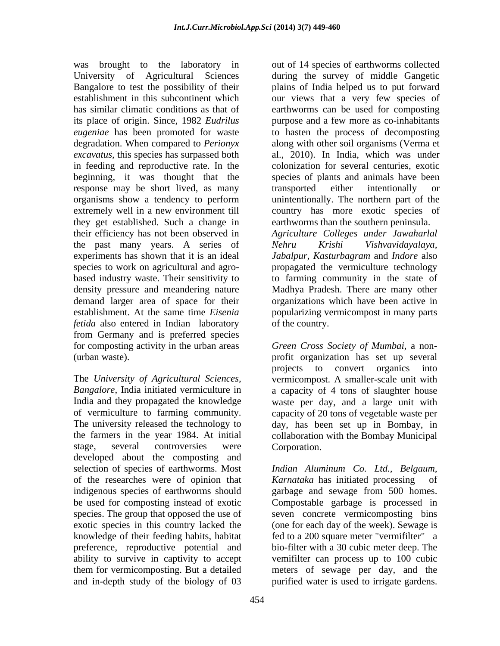its place of origin. Since, 1982 *Eudrilus eugeniae* has been promoted for waste *excavatus,* this species has surpassed both in feeding and reproductive rate. In the response may be short lived, as many transported either intentionally or the past many years. A series of Nehru Krishi Vishvavidayalaya, *fetida* also entered in Indian laboratory from Germany and is preferred species for composting activity in the urban areas *Green Cross Society of Mumbai*, a non- (urban waste). profit organization has set up several

The *University of Agricultural Sciences,* vermicompost. A smaller-scale unit with *Bangalore*, India initiated vermiculture in a capacity of 4 tons of slaughter house India and they propagated the knowledge waste per day, and a large unit with of vermiculture to farming community. capacity of 20 tons of vegetable waste per The university released the technology to day, has been set up in Bombay, in the farmers in the year 1984. At initial collaboration with the Bombay Municipal stage, several controversies were Corporation. developed about the composting and selection of species of earthworms. Most of the researches were of opinion that Karnataka has initiated processing of indigenous species of earthworms should garbage and sewage from 500 homes. be used for composting instead of exotic species. The group that opposed the use of exotic species in this country lacked the knowledge of their feeding habits, habitat preference, reproductive potential and ability to survive in captivity to accept them for vermicomposting. But a detailed and in-depth study of the biology of 03

was brought to the laboratory in out of 14 species of earthworms collected University of Agricultural Sciences during the survey of middle Gangetic Bangalore to test the possibility of their plains of India helped us to put forward establishment in this subcontinent which our views that a very few species of has similar climatic conditions as that of earthworms can be used for composting degradation. When compared to *Perionyx*  along with other soil organisms (Verma et beginning, it was thought that the species of plants and animals have been organisms show a tendency to perform unintentionally. The northern part of the extremely well in a new environment till country has more exotic species of they get established. Such a change in earthworms than the southern peninsula. their efficiency has not been observed in *Agriculture Colleges under Jawaharlal* experiments has shown that it is an ideal *Jabalpur, Kasturbagram* and *Indore* also species to work on agricultural and agro-<br>propagated the vermiculture technology based industry waste. Their sensitivity to to farming community in the state of density pressure and meandering nature Madhya Pradesh. There are many other demand larger area of space for their organizations which have been active in establishment. At the same time *Eisenia* popularizing vermicompost in many parts purpose and a few more as co-inhabitants to hasten the process of decomposting al., 2010). In India, which was under colonization for several centuries, exotic transported either intentionally or unintentionally. The northern part of the *Nehru Krishi Vishvavidayalaya,* of the country.

> projects to convert organics into **Corporation.**

*Indian Aluminum Co. Ltd., Belgaum, Karnataka* has initiated processing Compostable garbage is processed in seven concrete vermicomposting bins (one for each day of the week). Sewage is fed to a 200 square meter "vermifilter" a bio-filter with a 30 cubic meter deep. The vemifilter can process up to 100 cubic meters of sewage per day, and the purified water is used to irrigate gardens.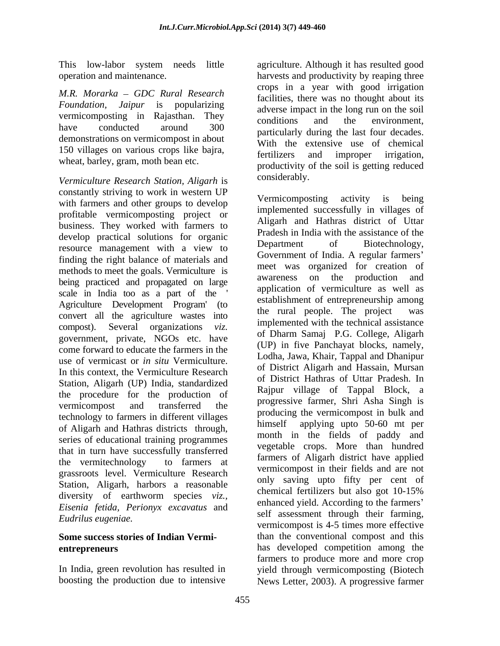*M.R. Morarka GDC Rural Research Foundation, Jaipur* is popularizing adverse impact in the long run on the soil vermicomposting in Rajasthan. They conditions and the environment, have conducted around 300 perticularly during the less four decedes demonstrations on vermicompost in about 150 villages on various crops like bajra,<br>
fertilizers and improper irrigation. wheat, barley, gram, moth bean etc.

*Vermiculture Research Station, Aligarh* is constantly striving to work in western UP<br>
vermicomposting activity is being<br>
vermicomposting activity is being with farmers and other groups to develop profitable vermicomposting project or business. They worked with farmers to develop practical solutions for organic Practical Practical Properties of Biotechnology, resource management with a view to finding the right balance of materials and methods to meet the goals. Vermiculture is the was organized for creation of the production and being practiced and propagated on large scale in India too as a part of the ' Agriculture Development Program' (to the rural people. The project was convert all the agriculture wastes into compost). Several organizations *viz.* government, private, NGOs etc. have come forward to educate the farmers in the use of vermicast or *in situ* Vermiculture. In this context, the Vermiculture Research Station, Aligarh (UP) India, standardized the procedure for the production of vermicompost and transferred the  $\mu$  progressive farmer, such Asia Singli is technology to farmers in different villages of Aligarh and Hathras districts through, series of educational training programmes that in turn have successfully transferred the vermitechnology to farmers at the lattitude of Aligan district have applied grassroots level. Vermiculture Research Station, Aligarh, harbors a reasonable diversity of earthworm species *viz., Eisenia fetida, Perionyx excavatus* and

# **Some success stories of Indian Vermi-**

boosting the production due to intensive News Letter, 2003). A progressive farmer

This low-labor system needs little agriculture. Although it has resulted good operation and maintenance. harvests and productivity by reaping three crops in a year with good irrigation facilities, there was no thought about its conditions and the environment, particularly during the last four decades. With the extensive use of chemical fertilizers and improper irrigation, productivity of the soil is getting reduced considerably.

*Eudrilus eugeniae.* vermicompost is 4-5 times more effective **entrepreneurs**  has developed competition among the In India, green revolution has resulted in yield through vermicomposting (Biotech Vermicomposting activity is being implemented successfully in villages of Aligarh and Hathras district of Uttar Pradesh in India with the assistance of the Department of Biotechnology, Government of India. A regular farmers meet was organized for creation of awareness on the production and application of vermiculture as well as establishment of entrepreneurship among the rural people. The project implemented with the technical assistance of Dharm Samaj P.G. College, Aligarh (UP) in five Panchayat blocks, namely, Lodha, Jawa, Khair, Tappal and Dhanipur of District Aligarh and Hassain, Mursan of District Hathras of Uttar Pradesh. In Rajpur village of Tappal Block, a progressive farmer, Shri Asha Singh is producing the vermicompost in bulk and himself applying upto 50-60 mt per month in the fields of paddy and vegetable crops. More than hundred farmers of Aligarh district have applied vermicompost in their fields and are not only saving upto fifty per cent of chemical fertilizers but also got 10-15% enhanced yield. According to the farmers self assessment through their farming, than the conventional compost and this farmers to produce more and more crop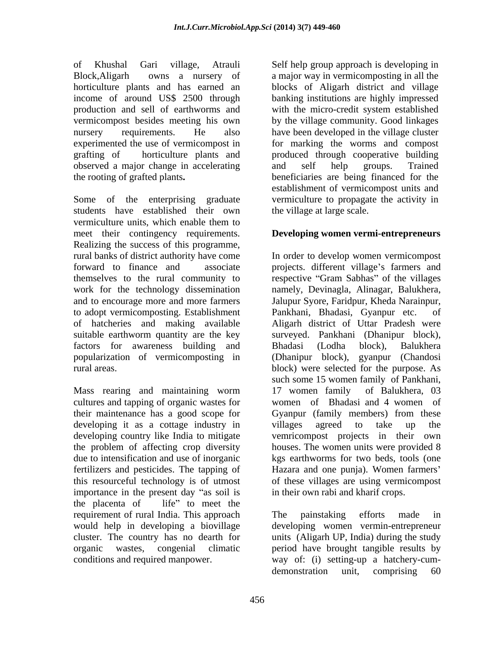of Khushal Gari village, Atrauli Self help group approach is developing in Block,Aligarh owns a nursery of a major way in vermicomposting in all the horticulture plants and has earned an blocks of Aligarh district and village income of around US\$ 2500 through banking institutions are highly impressed production and sell of earthworms and vermicompost besides meeting his own by the village community. Good linkages nursery requirements. He also have been developed in the village cluster experimented the use of vermicompost in for marking the worms and compost grafting of horticulture plants and produced through cooperative building observed a major change in accelerating the rooting of grafted plants**.** beneficiaries are being financed for the

Some of the enterprising graduate vermiculture to propagate the activity in students have established their own vermiculture units, which enable them to meet their contingency requirements. **Developing women vermi-entrepreneurs** Realizing the success of this programme, to adopt vermicomposting. Establishment Pankhani, Bhadasi, Gyanpur etc. of factors for awareness building and Bhadasi (Lodha block), Balukhera

cultures and tapping of organic wastes for developing it as a cottage industry in villages agreed to take up the importance in the present day "as soil is the placenta of life" to meet the requirement of rural India. This approach The painstaking efforts made in

with the micro-credit system established and self help groups. Trained establishment of vermicompost units and the village at large scale.

rural banks of district authority have come In order to develop women vermicompost forward to finance and associate projects. different village's farmers and themselves to the rural community to respective "Gram Sabhas" of the villages work for the technology dissemination namely, Devinagla, Alinagar, Balukhera, and to encourage more and more farmers Jalupur Syore, Faridpur, Kheda Narainpur, of hatcheries and making available Aligarh district of Uttar Pradesh were suitable earthworm quantity are the key surveyed. Pankhani (Dhanipur block), popularization of vermicomposting in (Dhanipur block), gyanpur (Chandosi rural areas. block) were selected for the purpose. As Mass rearing and maintaining worm their maintenance has a good scope for Gyanpur (family members) from these developing country like India to mitigate vemricompost projects in their own the problem of affecting crop diversity houses. The women units were provided 8 due to intensification and use of inorganic kgs earthworms for two beds, tools (one fertilizers and pesticides. The tapping of Hazara and one punja). Women farmers this resourceful technology is of utmost of these villages are using vermicompost Pankhani, Bhadasi, Gyanpur etc. Bhadasi (Lodha block), Balukhera such some 15 women family of Pankhani, 17 women family of Balukhera, 03 women of Bhadasi and 4 women of villages agreed to take up the in their own rabi and kharif crops.

would help in developing a biovillage developing women vermin-entrepreneur cluster. The country has no dearth for units (Aligarh UP, India) during the study organic wastes, congenial climatic period have brought tangible results by conditions and required manpower. way of: (i) setting-up a hatchery-cum- The painstaking efforts made in demonstration unit, comprising 60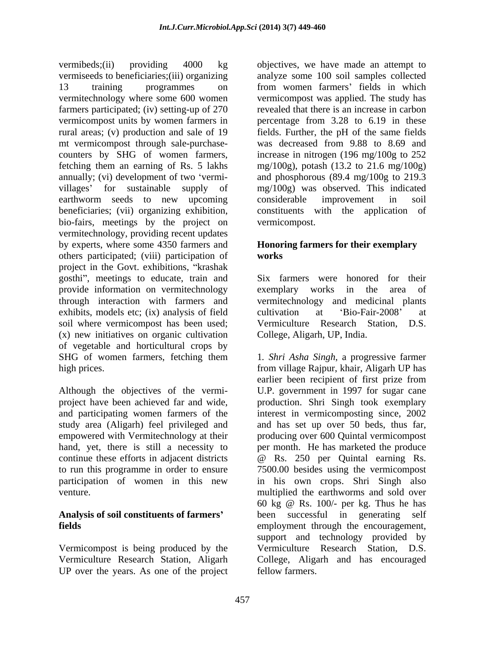vermibeds;(ii) providing 4000 kg objectives, we have made an attempt to vermiseeds to beneficiaries;(iii) organizing analyze some 100 soil samples collected 13 training programmes on from women farmers' fields in which vermitechnology where some 600 women farmers participated; (iv) setting-up of 270 vermicompost units by women farmers in percentage from 3.28 to 6.19 in these rural areas; (v) production and sale of 19 fields. Further, the pH of the same fields mt vermicompost through sale-purchase counters by SHG of women farmers, fetching them an earning of Rs. 5 lakhs mg/100g), potash (13.2 to 21.6 mg/100g) annually; (vi) development of two vermi- and phosphorous (89.4 mg/100g to 219.3 villages' for sustainable supply of mg/100g) was observed. This indicated earthworm seeds to new upcoming considerable improvement in soil beneficiaries; (vii) organizing exhibition, constituents with the application of bio-fairs, meetings by the project on vermitechnology, providing recent updates by experts, where some 4350 farmers and others participated; (viii) participation of project in the Govt. exhibitions, "krashak gosthi", meetings to educate, train and provide information on vermitechnology exemplary works in the area of through interaction with farmers and vermitechnology and medicinal plants exhibits, models etc; (ix) analysis of field cultivation at 'Bio-Fair-2008' at soil where vermicompost has been used; Vermiculture Research Station, D.S. (x) new initiatives on organic cultivation of vegetable and horticultural crops by SHG of women farmers, fetching them 1. Shri Asha Singh, a progressive farmer

study area (Aligarh) feel privileged and continue these efforts in adjacent districts  $\qquad \qquad \textcircled{R}$  Rs. 250 per Quintal earning Rs.

Vermicompost is being produced by the UP over the years. As one of the project

from women farmers' fields in which vermicompost was applied. The study has revealed that there is an increase in carbon was decreased from 9.88 to 8.69 and increase in nitrogen (196 mg/100g to 252 considerable improvement in soil vermicompost.

### **Honoring farmers for their exemplary works**

Six farmers were honored for their exemplary works in the area of cultivation at 'Bio-Fair-2008' at College, Aligarh, UP, India.

high prices. from village Rajpur, khair, Aligarh UP has Although the objectives of the vermi- U.P. government in 1997 for sugar cane project have been achieved far and wide, production. Shri Singh took exemplary and participating women farmers of the interest in vermicomposting since, 2002 empowered with Vermitechnology at their producing over 600 Quintal vermicompost hand, yet, there is still a necessity to per month. He has marketed the produce to run this programme in order to ensure 7500.00 besides using the vermicompost participation of women in this new in his own crops. Shri Singh also venture. multiplied the earthworms and sold over **Analysis of soil constituents of farmers fields**  employment through the encouragement, Vermiculture Research Station, Aligarh College, Aligarh and has encouraged 1*. Shri Asha Singh*, a progressive farmer earlier been recipient of first prize from and has set up over 50 beds, thus far, @ Rs. 250 per Quintal earning Rs. 60 kg @ Rs. 100/- per kg. Thus he has been successful in generating support and technology provided by Vermiculture Research Station, D.S. fellow farmers.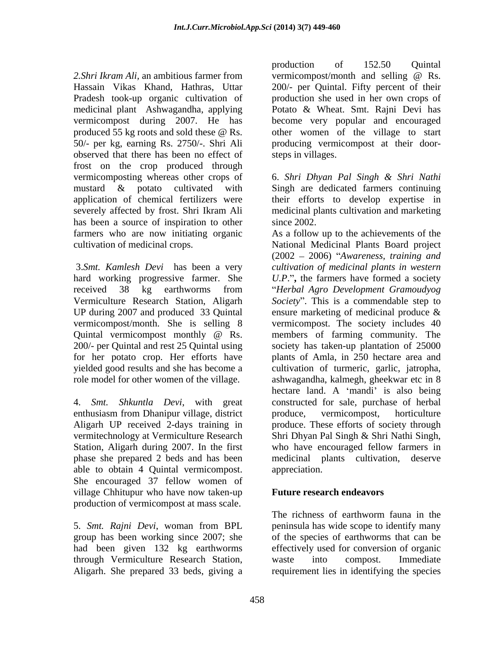2.*Shri Ikram Ali,* an ambitious farmer from vermicompost/month and selling @ Rs. Pradesh took-up organic cultivation of medicinal plant Ashwagandha, applying observed that there has been no effect of frost on the crop produced through vermicomposting whereas other crops of 6. *Shri Dhyan Pal Singh & Shri Nathi* mustard & potato cultivated with Singh are dedicated farmers continuing application of chemical fertilizers were their efforts to develop expertise in severely affected by frost. Shri Ikram Ali has been a source of inspiration to other since 2002. farmers who are now initiating organic As a follow up to the achievements of the

3.*Smt. Kamlesh Devi* has been a very

4. *Smt. Shkuntla Devi*, with great enthusiasm from Dhanipur village, district able to obtain 4 Quintal vermicompost. She encouraged 37 fellow women of village Chhitupur who have now taken-up production of vermicompost at mass scale.

through Vermiculture Research Station,

Hassain Vikas Khand, Hathras, Uttar 200/- per Quintal. Fifty percent of their vermicompost during 2007. He has become very popular and encouraged produced 55 kg roots and sold these @ Rs. other women of the village to start 50/- per kg, earning Rs. 2750/-. Shri Ali producing vermicompost at their door production of 152.50 Quintal vermicompost/month and selling @ Rs. production she used in her own crops of Potato & Wheat. Smt. Rajni Devi has steps in villages.

> medicinal plants cultivation and marketing since 2002.

cultivation of medicinal crops. National Medicinal Plants Board project hard working progressive farmer. She *U.P.*", the farmers have formed a society received 38 kg earthworms from *Herbal Agro Development Gramoudyog* Vermiculture Research Station, Aligarh *Society* . This is a commendable step to UP during 2007 and produced 33 Quintal ensure marketing of medicinal produce & vermicompost/month. She is selling 8 vermicompost. The society includes 40 Quintal vermicompost monthly @ Rs. members of farming community. The 200/- per Quintal and rest 25 Quintal using society has taken-up plantation of 25000 for her potato crop. Her efforts have plants of Amla, in 250 hectare area and yielded good results and she has become a cultivation of turmeric, garlic, jatropha, role model for other women of the village. ashwagandha, kalmegh, gheekwar etc in 8 Aligarh UP received 2-days training in produce. These efforts of society through vermitechnology at Vermiculture Research Shri Dhyan Pal Singh & Shri Nathi Singh, Station, Aligarh during 2007. In the first who have encouraged fellow farmers in phase she prepared 2 beds and has been medicinal plants cultivation, deserve (2002 2006) *Awareness, training and cultivation of medicinal plantsin western* members of farming community. The hectare land. A 'mandi' is also being constructed for sale, purchase of herbal produce, vermicompost, horticulture appreciation.

### **Future research endeavors**

5. *Smt. Rajni Devi*, woman from BPL peninsula has wide scope to identify many group has been working since 2007; she of the species of earthworms that can be had been given 132 kg earthworms effectively used for conversion of organic Aligarh. She prepared 33 beds, giving a requirement lies in identifying the speciesThe richness of earthworm fauna in the waste into compost. Immediate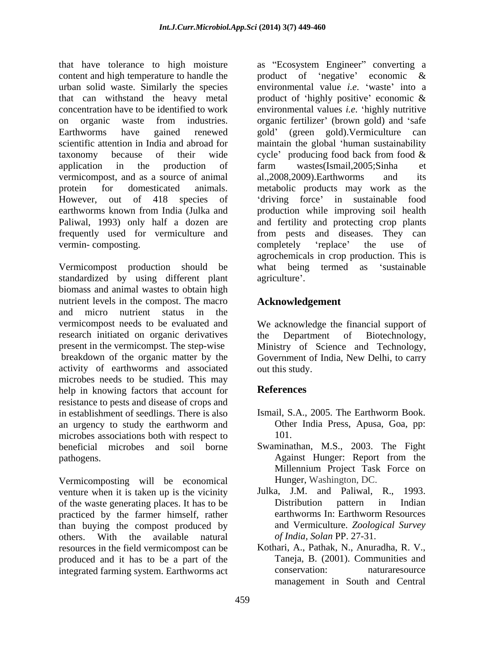that have tolerance to high moisture as "Ecosystem Engineer" converting a content and high temperature to handle the product of 'negative' economic & urban solid waste. Similarly the species that can withstand the heavy metal product of 'highly positive' economic & concentration have to be identified to work environmental values *i.e*. 'highly nutritive on organic waste from industries. organic fertilizer' (brown gold) and 'safe Earthworms have gained renewed gold' (green gold).Vermiculture can scientific attention in India and abroad for maintain the global 'human sustainability taxonomy because of their wide cycle' producing food back from food & application in the production of farm wastes(Ismail,2005;Sinha et vermicompost, and as a source of animal al., 2008, 2009). Earthworms and its protein for domesticated animals. metabolic products may work as the However, out of 418 species of 'driving force' in sustainable food earthworms known from India (Julka and production while improving soil health Paliwal, 1993) only half a dozen are and fertility and protecting crop plants frequently used for vermiculture and from pests and diseases. They can vermin-composting. completely 'replace' the use of

Vermicompost production should be standardized by using different plant agriculture'. biomass and animal wastes to obtain high nutrient levels in the compost. The macro and micro nutrient status in the vermicompost needs to be evaluated and We acknowledge the financial support of research initiated on organic derivatives the Department of Biotechnology, present in the vermicompst. The step-wise Ministry of Science and Technology, breakdown of the organic matter by the Government of India, New Delhi, to carry activity of earthworms and associated microbes needs to be studied. This may<br>help in knowing factors that account for **References** help in knowing factors that account for resistance to pests and disease of crops and<br>in establishment of seedlings. There is also Ismail, S.A., 2005. The Earthworm Book. in establishment of seedlings. There is also an urgency to study the earthworm and **Other India Press, Apusa, Goa, pp**: microbes associations both with respect to  $101$ . beneficial microbes and soil borne Swaminathan, M.S., 2003. The Fight pathogens. Against Hunger: Report from the

Vermicomposting will be economical venture when it is taken up is the vicinity of the waste generating places. It has to be<br>  $\begin{array}{ccc}\nDistribution & pattern & in & Indian  
\npractical by the farmer himself, rather & earthworm Resources\n\end{array}$ practiced by the farmer himself, rather than buying the compost produced by others. With the available natural of *India*, Solan PP. 27-31. resources in the field vermicompost can be Kothari, A., Pathak, N., Anuradha, R. V., produced and it has to be a part of the integrated farming system. Earthworms act conservation: naturaresource

product of 'negative' economic  $\&$ environmental value *i.e.* 'waste' into a product of 'highly positive' economic  $\&$ farm wastes(Ismail,2005;Sinha et al.,2008,2009).Earthworms and its completely 'replace' the use of agrochemicals in crop production. This is what being termed as 'sustainable agriculture'.

# **Acknowledgement**

the Department of Biotechnology, out this study.

# **References**

- Ismail, S.A., 2005. The Earthworm Book. Other India Press, Apusa, Goa, pp: 101.
- Against Hunger: Report from the Millennium Project Task Force on Hunger, Washington, DC.
- Julka, J.M. and Paliwal, R., 1993. Distribution pattern in Indian earthworms In: Earthworm Resources and Vermiculture. *Zoological Survey of India, Solan* PP. 27-31.
- Taneja, B. (2001). Communities and conservation: naturaresource management in South and Central